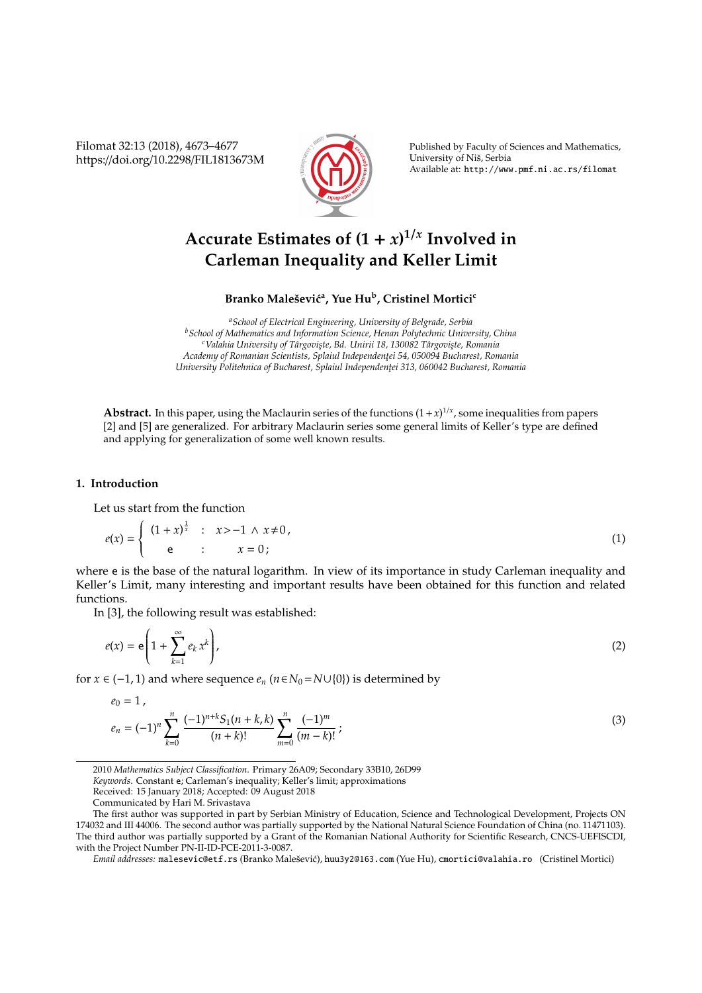Filomat 32:13 (2018), 4673–4677 https://doi.org/10.2298/FIL1813673M



Published by Faculty of Sciences and Mathematics, University of Niš, Serbia Available at: http://www.pmf.ni.ac.rs/filomat

# Accurate Estimates of  $(1 + x)^{1/x}$  Involved in **Carleman Inequality and Keller Limit**

**Branko Maleˇsevi´c<sup>a</sup> , Yue Hu<sup>b</sup> , Cristinel Mortici<sup>c</sup>**

*<sup>a</sup>School of Electrical Engineering, University of Belgrade, Serbia <sup>b</sup>School of Mathematics and Information Science, Henan Polytechnic University, China* <sup>c</sup>Valahia University of Târgoviste, Bd. Unirii 18, 130082 Târgoviste, Romania *Academy of Romanian Scientists, Splaiul Independent¸ei 54, 050094 Bucharest, Romania University Politehnica of Bucharest, Splaiul Independent¸ei 313, 060042 Bucharest, Romania*

**Abstract.** In this paper, using the Maclaurin series of the functions  $(1+x)^{1/x}$ , some inequalities from papers [2] and [5] are generalized. For arbitrary Maclaurin series some general limits of Keller's type are defined and applying for generalization of some well known results.

### **1. Introduction**

Let us start from the function

$$
e(x) = \begin{cases} (1+x)^{\frac{1}{x}} & \text{: } x > -1 \land x \neq 0, \\ e & \text{: } x = 0; \end{cases}
$$
 (1)

where e is the base of the natural logarithm. In view of its importance in study Carleman inequality and Keller's Limit, many interesting and important results have been obtained for this function and related functions.

In [3], the following result was established:

$$
e(x) = \mathbf{e}\left(1 + \sum_{k=1}^{\infty} e_k x^k\right),\tag{2}
$$

for *x* ∈ (−1, 1) and where sequence  $e_n$  ( $n \in N_0 = N \cup \{0\}$ ) is determined by

$$
e_0 = 1,
$$
  
\n
$$
e_n = (-1)^n \sum_{k=0}^n \frac{(-1)^{n+k} S_1(n+k,k)}{(n+k)!} \sum_{m=0}^n \frac{(-1)^m}{(m-k)!};
$$
\n(3)

*Keywords*. Constant e; Carleman's inequality; Keller's limit; approximations

*Email addresses:* malesevic@etf.rs (Branko Malešević), huu3y2@163.com (Yue Hu), cmortici@valahia.ro (Cristinel Mortici)

<sup>2010</sup> *Mathematics Subject Classification*. Primary 26A09; Secondary 33B10, 26D99

Received: 15 January 2018; Accepted: 09 August 2018

Communicated by Hari M. Srivastava

The first author was supported in part by Serbian Ministry of Education, Science and Technological Development, Projects ON 174032 and III 44006. The second author was partially supported by the National Natural Science Foundation of China (no. 11471103). The third author was partially supported by a Grant of the Romanian National Authority for Scientific Research, CNCS-UEFISCDI, with the Project Number PN-II-ID-PCE-2011-3-0087.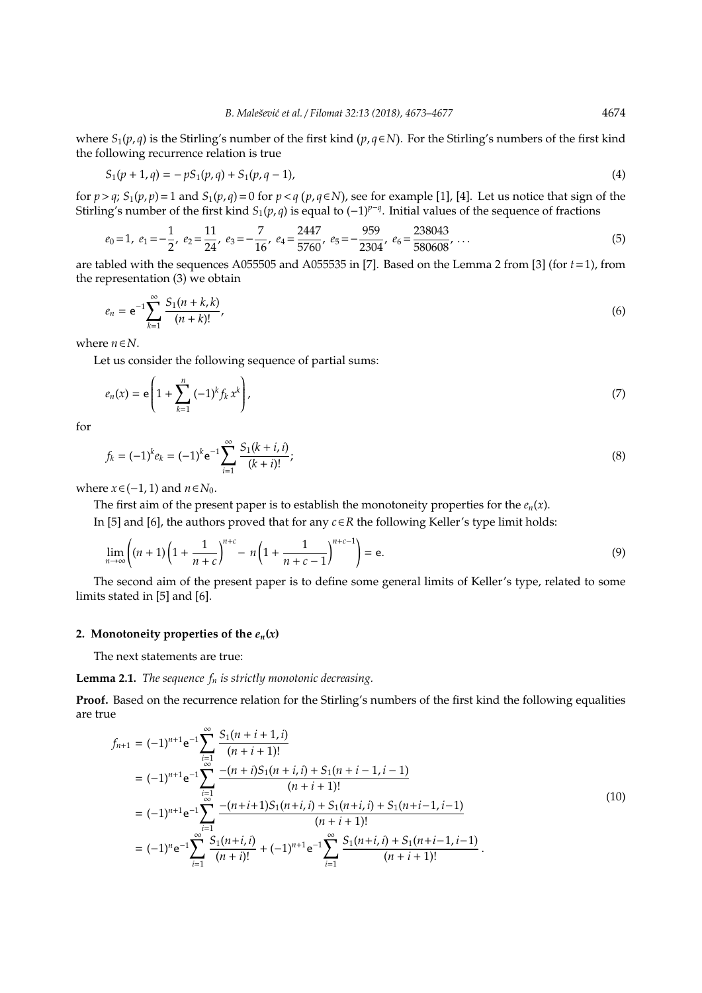where  $S_1(p,q)$  is the Stirling's number of the first kind  $(p,q \in N)$ . For the Stirling's numbers of the first kind the following recurrence relation is true

$$
S_1(p+1,q) = -pS_1(p,q) + S_1(p,q-1),
$$
\n(4)

for  $p > q$ ;  $S_1(p, p) = 1$  and  $S_1(p, q) = 0$  for  $p < q$  ( $p, q \in N$ ), see for example [1], [4]. Let us notice that sign of the Stirling's number of the first kind *S*1(*p*, *q*) is equal to (−1)*<sup>p</sup>*−*<sup>q</sup>* . Initial values of the sequence of fractions

$$
e_0 = 1, e_1 = -\frac{1}{2}, e_2 = \frac{11}{24}, e_3 = -\frac{7}{16}, e_4 = \frac{2447}{5760}, e_5 = -\frac{959}{2304}, e_6 = \frac{238043}{580608}, \dots
$$
 (5)

are tabled with the sequences A055505 and A055535 in [7]. Based on the Lemma 2 from [3] (for *t*=1), from the representation (3) we obtain

$$
e_n = e^{-1} \sum_{k=1}^{\infty} \frac{S_1(n+k,k)}{(n+k)!},
$$
\n(6)

where *n*∈*N*.

Let us consider the following sequence of partial sums:

$$
e_n(x) = \mathbf{e} \left( 1 + \sum_{k=1}^n (-1)^k f_k x^k \right), \tag{7}
$$

for

$$
f_k = (-1)^k e_k = (-1)^k e^{-1} \sum_{i=1}^{\infty} \frac{S_1(k+i, i)}{(k+i)!};
$$
\n(8)

where  $x \in (-1, 1)$  and  $n \in N_0$ .

The first aim of the present paper is to establish the monotoneity properties for the  $e_n(x)$ .

In [5] and [6], the authors proved that for any *c*∈*R* the following Keller's type limit holds:

$$
\lim_{n \to \infty} \left( (n+1) \left( 1 + \frac{1}{n+c} \right)^{n+c} - n \left( 1 + \frac{1}{n+c-1} \right)^{n+c-1} \right) = e.
$$
\n(9)

The second aim of the present paper is to define some general limits of Keller's type, related to some limits stated in [5] and [6].

#### 2. Monotoneity properties of the  $e_n(x)$

The next statements are true:

## **Lemma 2.1.** *The sequence f<sup>n</sup> is strictly monotonic decreasing.*

**Proof.** Based on the recurrence relation for the Stirling's numbers of the first kind the following equalities are true

$$
f_{n+1} = (-1)^{n+1} e^{-1} \sum_{\substack{i=1 \ i \text{ odd}}}^{\infty} \frac{S_1(n+i+1,i)}{(n+i+1)!}
$$
  
\n
$$
= (-1)^{n+1} e^{-1} \sum_{\substack{i=1 \ i \text{ odd}}}^{\infty} \frac{-(n+i)S_1(n+i,i) + S_1(n+i-1,i-1)}{(n+i+1)!}
$$
  
\n
$$
= (-1)^{n+1} e^{-1} \sum_{i=1}^{\infty} \frac{-(n+i+1)S_1(n+i,i) + S_1(n+i,i) + S_1(n+i-1,i-1)}{(n+i+1)!}
$$
  
\n
$$
= (-1)^n e^{-1} \sum_{i=1}^{\infty} \frac{S_1(n+i,i)}{(n+i)!} + (-1)^{n+1} e^{-1} \sum_{i=1}^{\infty} \frac{S_1(n+i,i) + S_1(n+i-1,i-1)}{(n+i+1)!}.
$$
  
\n(10)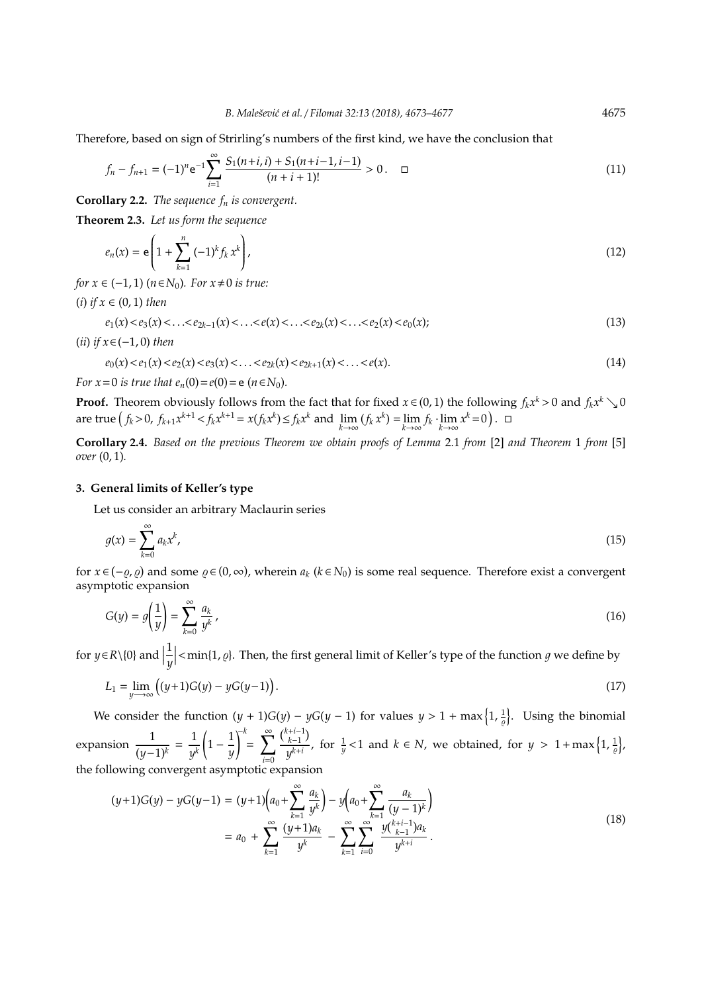Therefore, based on sign of Strirling's numbers of the first kind, we have the conclusion that

$$
f_n - f_{n+1} = (-1)^n e^{-1} \sum_{i=1}^{\infty} \frac{S_1(n+i, i) + S_1(n+i-1, i-1)}{(n+i+1)!} > 0. \quad \Box
$$
\n(11)

**Corollary 2.2.** *The sequence f<sup>n</sup> is convergent.*

**Theorem 2.3.** *Let us form the sequence*

$$
e_n(x) = \mathbf{e} \left( 1 + \sum_{k=1}^n (-1)^k f_k x^k \right), \tag{12}
$$

*for*  $x \in (-1, 1)$   $(n \in N_0)$ *. For*  $x \neq 0$  *is true:* 

(*i*) *if x* ∈ (0, 1) *then*

$$
e_1(x) < e_3(x) < \ldots < e_{2k-1}(x) < \ldots < e(x) < \ldots < e_{2k}(x) < \ldots < e_2(x) < e_0(x);
$$
\n(13)

$$
(ii) if x \in (-1,0) then
$$

$$
e_0(x) < e_1(x) < e_2(x) < e_3(x) < \ldots < e_{2k}(x) < e_{2k+1}(x) < \ldots < e(x).
$$
\n(14)

*For*  $x = 0$  *is true that*  $e_n(0) = e(0) = e(n \in N_0)$ *.* 

**Proof.** Theorem obviously follows from the fact that for fixed  $x \in (0, 1)$  the following  $f_k x^k > 0$  and  $f_k x^k \searrow 0$ are true  $(f_k > 0, f_{k+1}x^{k+1} < f_kx^{k+1} = x(f_kx^k) \le f_kx^k$  and  $\lim_{k \to \infty} (f_kx^k) = \lim_{k \to \infty} f_k \cdot \lim_{k \to \infty} x^k = 0$ . □

**Corollary 2.4.** *Based on the previous Theorem we obtain proofs of Lemma* 2.1 *from* [2] *and Theorem* 1 *from* [5] *over* (0, 1)*.*

#### **3. General limits of Keller's type**

Let us consider an arbitrary Maclaurin series

$$
g(x) = \sum_{k=0}^{\infty} a_k x^k,
$$
 (15)

for  $x \in (-\varrho, \varrho)$  and some  $\varrho \in (0, \infty)$ , wherein  $a_k$  ( $k \in N_0$ ) is some real sequence. Therefore exist a convergent asymptotic expansion

$$
G(y) = g\left(\frac{1}{y}\right) = \sum_{k=0}^{\infty} \frac{a_k}{y^k},
$$
\n(16)

for  $y \in R \setminus \{0\}$  and  $\Big|$ 1 *y*  $\vert$  < min{1,  $\varrho$ }. Then, the first general limit of Keller's type of the function  $g$  we define by

$$
L_1 = \lim_{y \to \infty} ((y+1)G(y) - yG(y-1)).
$$
\n(17)

We consider the function  $(y + 1)G(y) - yG(y - 1)$  for values  $y > 1 + \max\left\{1, \frac{1}{\varrho}\right\}$ . Using the binomial expansion  $\frac{1}{(y-1)^k} = \frac{1}{y^j}$ *y k*  $\left(1-\frac{1}{n}\right)$ *y* !−*k*  $\sum_{i=1}^{n}$ *i*=0 *<sup>k</sup>*+*i*−<sup>1</sup> *k*−1 *y*<sup>*k*+*i*</sup></sub>, for  $\frac{1}{y}$  < 1 and *k* ∈ *N*, we obtained, for *y* > 1+max {1,  $\frac{1}{\varrho}$ }, the following convergent asymptotic expansion

$$
(y+1)G(y) - yG(y-1) = (y+1)\left(a_0 + \sum_{k=1}^{\infty} \frac{a_k}{y^k}\right) - y\left(a_0 + \sum_{k=1}^{\infty} \frac{a_k}{(y-1)^k}\right)
$$
  
=  $a_0 + \sum_{k=1}^{\infty} \frac{(y+1)a_k}{y^k} - \sum_{k=1}^{\infty} \sum_{i=0}^{\infty} \frac{y\binom{k+i-1}{k-1}a_k}{y^{k+i}}.$  (18)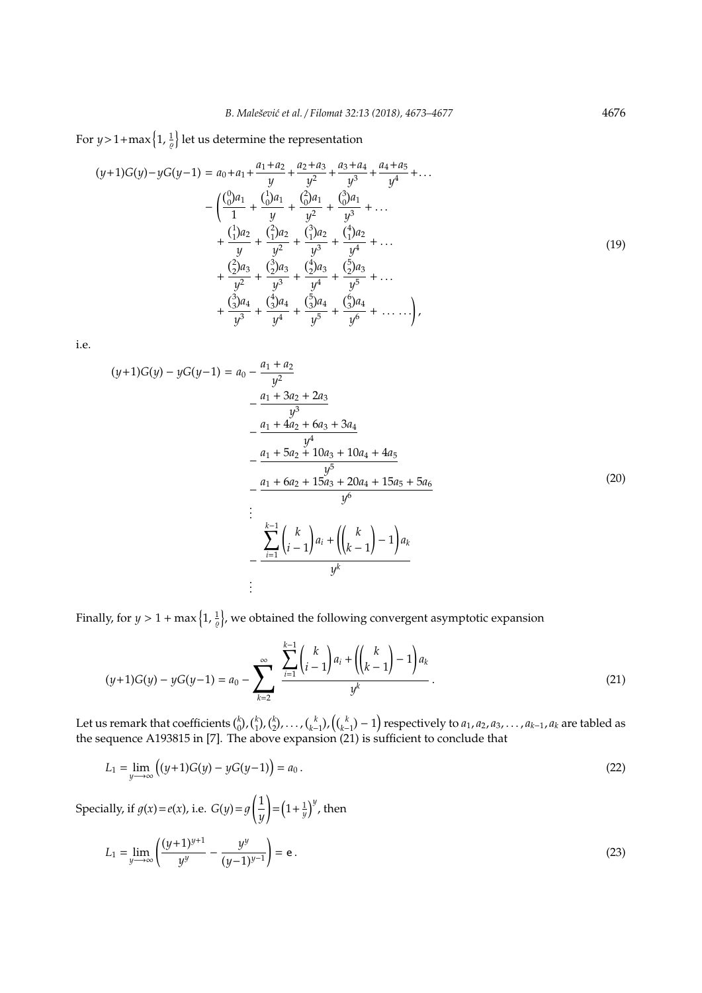For  $y > 1 + \max\left\{1, \frac{1}{\varrho}\right\}$  let us determine the representation

$$
(y+1)G(y)-yG(y-1) = a_0 + a_1 + \frac{a_1 + a_2}{y} + \frac{a_2 + a_3}{y^2} + \frac{a_3 + a_4}{y^3} + \frac{a_4 + a_5}{y^4} + \dots
$$
  

$$
- \left( \frac{\binom{0}{0}a_1}{1} + \frac{\binom{1}{0}a_1}{y} + \frac{\binom{2}{0}a_1}{y^2} + \frac{\binom{3}{0}a_1}{y^3} + \dots + \frac{\binom{1}{1}a_2}{y} + \frac{\binom{2}{1}a_2}{y^2} + \frac{\binom{3}{1}a_2}{y^3} + \frac{\binom{4}{1}a_2}{y^4} + \dots + \frac{\binom{2}{2}a_3}{y^2} + \frac{\binom{3}{2}a_3}{y^3} + \frac{\binom{4}{2}a_3}{y^4} + \frac{\binom{5}{2}a_3}{y^5} + \dots + \frac{\binom{3}{3}a_4}{y^3} + \frac{\binom{4}{3}a_4}{y^4} + \frac{\binom{5}{3}a_4}{y^5} + \frac{\binom{6}{3}a_4}{y^6} + \dots \right),
$$
  
(19)

i.e.

$$
(y+1)G(y) - yG(y-1) = a_0 - \frac{a_1 + a_2}{y^2}
$$
  
\n
$$
- \frac{a_1 + 3a_2 + 2a_3}{y^3}
$$
  
\n
$$
- \frac{a_1 + 4a_2 + 6a_3 + 3a_4}{y^4}
$$
  
\n
$$
- \frac{a_1 + 5a_2 + 10a_3 + 10a_4 + 4a_5}{y^5}
$$
  
\n
$$
- \frac{a_1 + 6a_2 + 15a_3 + 20a_4 + 15a_5 + 5a_6}{y^6}
$$
  
\n
$$
\vdots
$$
  
\n
$$
\sum_{i=1}^{k-1} {k \choose i-1} a_i + {k \choose k-1} - 1 a_k
$$
  
\n
$$
\vdots
$$
  
\n
$$
\vdots
$$
  
\n
$$
y^k
$$

Finally, for  $y > 1 + \max\left\{1, \frac{1}{\varrho}\right\}$ , we obtained the following convergent asymptotic expansion

$$
(y+1)G(y) - yG(y-1) = a_0 - \sum_{k=2}^{\infty} \frac{\sum_{i=1}^{k-1} {k \choose i-1} a_i + {k \choose k-1} - 1 a_k}{y^k}.
$$
 (21)

Let us remark that coefficients  $\binom{k}{0}$ ,  $\binom{k}{1}$ ,  $\binom{k}{2}$ , ...,  $\binom{k}{k-1}$ ,  $\binom{k}{k-1}$  respectively to  $a_1, a_2, a_3, \ldots, a_{k-1}, a_k$  are tabled as the sequence A193815 in [7]. The above expansion (21) is sufficient t

$$
L_1 = \lim_{y \to \infty} \left( (y+1)G(y) - yG(y-1) \right) = a_0.
$$
\n(22)

Specially, if  $g(x) = e(x)$ , i.e.  $G(y) = g\left(\frac{1}{y}\right) = \left(1 + \frac{1}{y}\right)^y$ , then

$$
L_1 = \lim_{y \to \infty} \left( \frac{(y+1)^{y+1}}{y^y} - \frac{y^y}{(y-1)^{y-1}} \right) = e.
$$
 (23)

4676